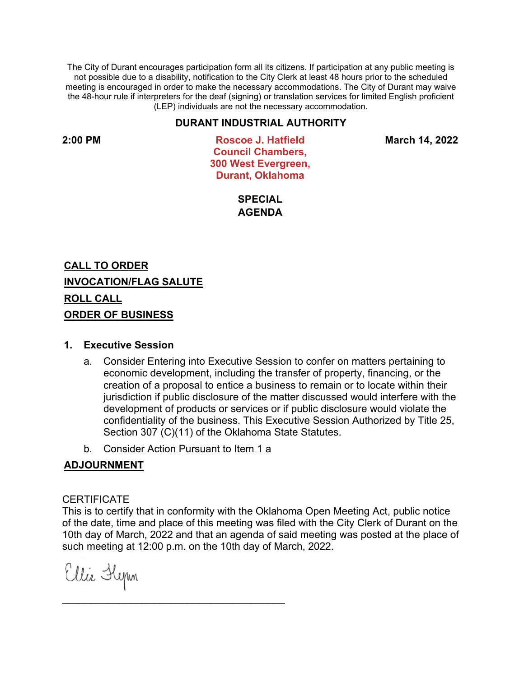The City of Durant encourages participation form all its citizens. If participation at any public meeting is not possible due to a disability, notification to the City Clerk at least 48 hours prior to the scheduled meeting is encouraged in order to make the necessary accommodations. The City of Durant may waive the 48-hour rule if interpreters for the deaf (signing) or translation services for limited English proficient (LEP) individuals are not the necessary accommodation.

## **DURANT INDUSTRIAL AUTHORITY**

**2:00 PM Roscoe J. Hatfield Council Chambers, 300 West Evergreen, Durant, Oklahoma**

**March 14, 2022**

**SPECIAL AGENDA**

**CALL TO ORDER INVOCATION/FLAG SALUTE ROLL CALL ORDER OF BUSINESS**

## **1. Executive Session**

- a. Consider Entering into Executive Session to confer on matters pertaining to economic development, including the transfer of property, financing, or the creation of a proposal to entice a business to remain or to locate within their jurisdiction if public disclosure of the matter discussed would interfere with the development of products or services or if public disclosure would violate the confidentiality of the business. This Executive Session Authorized by Title 25, Section 307 (C)(11) of the Oklahoma State Statutes.
- b. Consider Action Pursuant to Item 1 a

 $\mathcal{L}_\text{max}$  , and the contract of the contract of the contract of the contract of the contract of the contract of the contract of the contract of the contract of the contract of the contract of the contract of the contr

## **ADJOURNMENT**

## **CERTIFICATE**

This is to certify that in conformity with the Oklahoma Open Meeting Act, public notice of the date, time and place of this meeting was filed with the City Clerk of Durant on the 10th day of March, 2022 and that an agenda of said meeting was posted at the place of such meeting at 12:00 p.m. on the 10th day of March, 2022.

Ellie Flynn